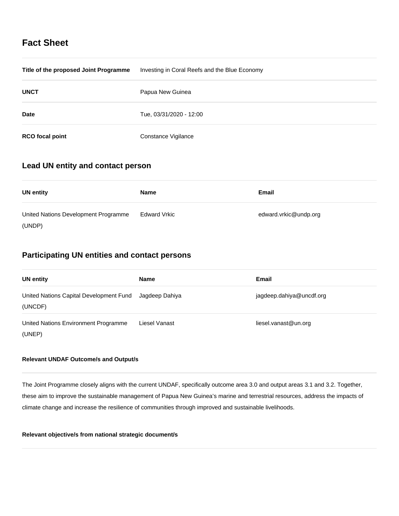# **Fact Sheet**

| Title of the proposed Joint Programme | Investing in Coral Reefs and the Blue Economy |
|---------------------------------------|-----------------------------------------------|
| <b>UNCT</b>                           | Papua New Guinea                              |
| <b>Date</b>                           | Tue, 03/31/2020 - 12:00                       |
| <b>RCO</b> focal point                | Constance Vigilance                           |

# **Lead UN entity and contact person**

| <b>UN entity</b>                     | <b>Name</b>  | Email                 |
|--------------------------------------|--------------|-----------------------|
| United Nations Development Programme | Edward Vrkic | edward.vrkic@undp.org |
| (UNDP)                               |              |                       |

# **Participating UN entities and contact persons**

| <b>UN entity</b>                                   | <b>Name</b>    | Email                    |
|----------------------------------------------------|----------------|--------------------------|
| United Nations Capital Development Fund<br>(UNCDF) | Jagdeep Dahiya | jagdeep.dahiya@uncdf.org |
| United Nations Environment Programme<br>(UNEP)     | Liesel Vanast  | liesel.vanast@un.org     |

## **Relevant UNDAF Outcome/s and Output/s**

The Joint Programme closely aligns with the current UNDAF, specifically outcome area 3.0 and output areas 3.1 and 3.2. Together, these aim to improve the sustainable management of Papua New Guinea's marine and terrestrial resources, address the impacts of climate change and increase the resilience of communities through improved and sustainable livelihoods.

### **Relevant objective/s from national strategic document/s**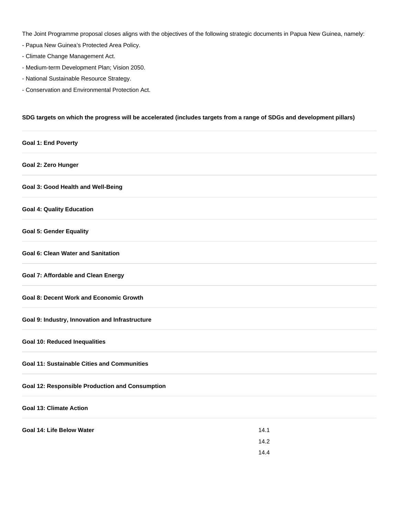The Joint Programme proposal closes aligns with the objectives of the following strategic documents in Papua New Guinea, namely:

- Papua New Guinea's Protected Area Policy.
- Climate Change Management Act.
- Medium-term Development Plan; Vision 2050.
- National Sustainable Resource Strategy.
- Conservation and Environmental Protection Act.

### **SDG targets on which the progress will be accelerated (includes targets from a range of SDGs and development pillars)**

| <b>Goal 1: End Poverty</b>                             |      |  |
|--------------------------------------------------------|------|--|
| Goal 2: Zero Hunger                                    |      |  |
| <b>Goal 3: Good Health and Well-Being</b>              |      |  |
| <b>Goal 4: Quality Education</b>                       |      |  |
| <b>Goal 5: Gender Equality</b>                         |      |  |
| <b>Goal 6: Clean Water and Sanitation</b>              |      |  |
| <b>Goal 7: Affordable and Clean Energy</b>             |      |  |
| <b>Goal 8: Decent Work and Economic Growth</b>         |      |  |
| Goal 9: Industry, Innovation and Infrastructure        |      |  |
| <b>Goal 10: Reduced Inequalities</b>                   |      |  |
| <b>Goal 11: Sustainable Cities and Communities</b>     |      |  |
| <b>Goal 12: Responsible Production and Consumption</b> |      |  |
| <b>Goal 13: Climate Action</b>                         |      |  |
| Goal 14: Life Below Water                              | 14.1 |  |
|                                                        | 14.2 |  |
|                                                        | 14.4 |  |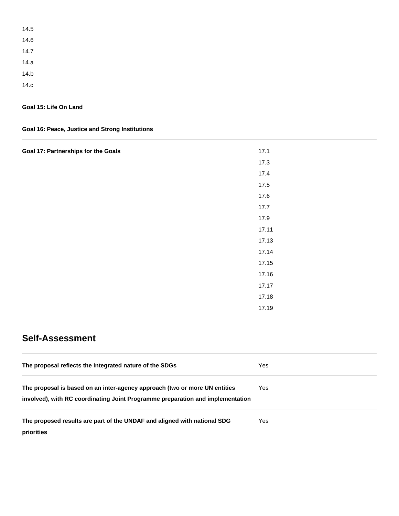| 14.5 |  |  |
|------|--|--|
| 14.6 |  |  |
| 14.7 |  |  |
| 14.a |  |  |
| 14.b |  |  |
| 14.c |  |  |

## **Goal 15: Life On Land**

## **Goal 16: Peace, Justice and Strong Institutions**

| Goal 17: Partnerships for the Goals | 17.1  |
|-------------------------------------|-------|
|                                     | 17.3  |
|                                     | 17.4  |
|                                     | 17.5  |
|                                     | 17.6  |
|                                     | 17.7  |
|                                     | 17.9  |
|                                     | 17.11 |
|                                     | 17.13 |
|                                     | 17.14 |
|                                     | 17.15 |
|                                     | 17.16 |
|                                     | 17.17 |
|                                     | 17.18 |
|                                     | 17.19 |

# **Self-Assessment**

| The proposal reflects the integrated nature of the SDGs                                                                                                      | Yes |
|--------------------------------------------------------------------------------------------------------------------------------------------------------------|-----|
| The proposal is based on an inter-agency approach (two or more UN entities<br>involved), with RC coordinating Joint Programme preparation and implementation | Yes |
| The proposed results are part of the UNDAF and aligned with national SDG<br>priorities                                                                       | Yes |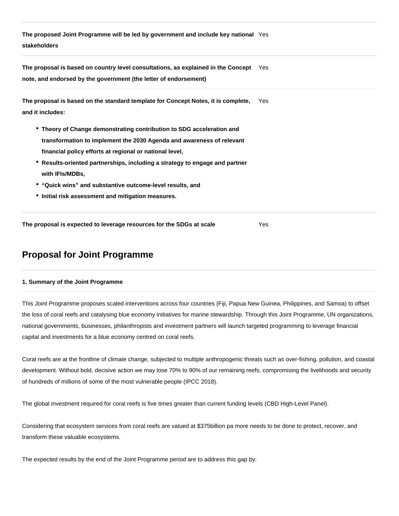**The proposed Joint Programme will be led by government and include key national**  Yes **stakeholders**

**The proposal is based on country level consultations, as explained in the Concept**  Yes **note, and endorsed by the government (the letter of endorsement)**

| The proposal is based on the standard template for Concept Notes, it is complete, | Yes |  |
|-----------------------------------------------------------------------------------|-----|--|
| and it includes:                                                                  |     |  |

- **Theory of Change demonstrating contribution to SDG acceleration and transformation to implement the 2030 Agenda and awareness of relevant financial policy efforts at regional or national level,**
- **Results-oriented partnerships, including a strategy to engage and partner with IFIs/MDBs,**
- **"Quick wins" and substantive outcome-level results, and**
- **Initial risk assessment and mitigation measures.**

**The proposal is expected to leverage resources for the SDGs at scale** Yes

# **Proposal for Joint Programme**

### **1. Summary of the Joint Programme**

This Joint Programme proposes scaled interventions across four countries (Fiji, Papua New Guinea, Philippines, and Samoa) to offset the loss of coral reefs and catalysing blue economy initiatives for marine stewardship. Through this Joint Programme, UN organizations, national governments, businesses, philanthropists and investment partners will launch targeted programming to leverage financial capital and investments for a blue economy centred on coral reefs.

Coral reefs are at the frontline of climate change, subjected to multiple anthropogenic threats such as over-fishing, pollution, and coastal development. Without bold, decisive action we may lose 70% to 90% of our remaining reefs, compromising the livelihoods and security of hundreds of millions of some of the most vulnerable people (IPCC 2018).

The global investment required for coral reefs is five times greater than current funding levels (CBD High-Level Panel).

Considering that ecosystem services from coral reefs are valued at \$375billion pa more needs to be done to protect, recover, and transform these valuable ecosystems.

The expected results by the end of the Joint Programme period are to address this gap by: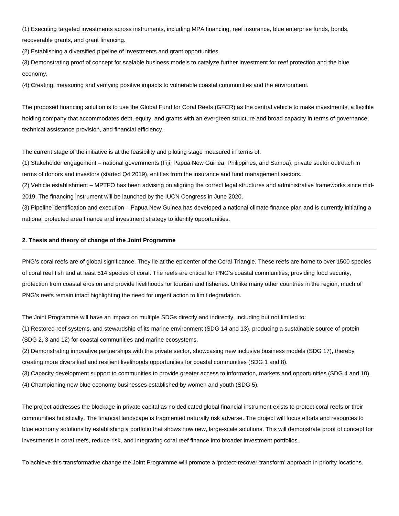(1) Executing targeted investments across instruments, including MPA financing, reef insurance, blue enterprise funds, bonds, recoverable grants, and grant financing.

(2) Establishing a diversified pipeline of investments and grant opportunities.

(3) Demonstrating proof of concept for scalable business models to catalyze further investment for reef protection and the blue economy.

(4) Creating, measuring and verifying positive impacts to vulnerable coastal communities and the environment.

The proposed financing solution is to use the Global Fund for Coral Reefs (GFCR) as the central vehicle to make investments, a flexible holding company that accommodates debt, equity, and grants with an evergreen structure and broad capacity in terms of governance, technical assistance provision, and financial efficiency.

The current stage of the initiative is at the feasibility and piloting stage measured in terms of:

(1) Stakeholder engagement – national governments (Fiji, Papua New Guinea, Philippines, and Samoa), private sector outreach in terms of donors and investors (started Q4 2019), entities from the insurance and fund management sectors.

(2) Vehicle establishment – MPTFO has been advising on aligning the correct legal structures and administrative frameworks since mid-2019. The financing instrument will be launched by the IUCN Congress in June 2020.

(3) Pipeline identification and execution – Papua New Guinea has developed a national climate finance plan and is currently initiating a national protected area finance and investment strategy to identify opportunities.

#### **2. Thesis and theory of change of the Joint Programme**

PNG's coral reefs are of global significance. They lie at the epicenter of the Coral Triangle. These reefs are home to over 1500 species of coral reef fish and at least 514 species of coral. The reefs are critical for PNG's coastal communities, providing food security, protection from coastal erosion and provide livelihoods for tourism and fisheries. Unlike many other countries in the region, much of PNG's reefs remain intact highlighting the need for urgent action to limit degradation.

The Joint Programme will have an impact on multiple SDGs directly and indirectly, including but not limited to:

(1) Restored reef systems, and stewardship of its marine environment (SDG 14 and 13). producing a sustainable source of protein (SDG 2, 3 and 12) for coastal communities and marine ecosystems.

(2) Demonstrating innovative partnerships with the private sector, showcasing new inclusive business models (SDG 17), thereby creating more diversified and resilient livelihoods opportunities for coastal communities (SDG 1 and 8).

(3) Capacity development support to communities to provide greater access to information, markets and opportunities (SDG 4 and 10).

(4) Championing new blue economy businesses established by women and youth (SDG 5).

The project addresses the blockage in private capital as no dedicated global financial instrument exists to protect coral reefs or their communities holistically. The financial landscape is fragmented naturally risk adverse. The project will focus efforts and resources to blue economy solutions by establishing a portfolio that shows how new, large-scale solutions. This will demonstrate proof of concept for investments in coral reefs, reduce risk, and integrating coral reef finance into broader investment portfolios.

To achieve this transformative change the Joint Programme will promote a 'protect-recover-transform' approach in priority locations.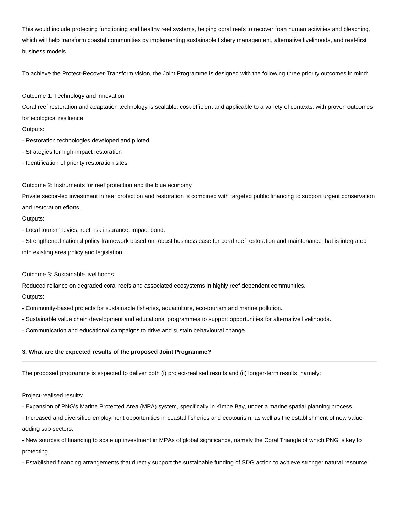This would include protecting functioning and healthy reef systems, helping coral reefs to recover from human activities and bleaching, which will help transform coastal communities by implementing sustainable fishery management, alternative livelihoods, and reef-first business models

To achieve the Protect-Recover-Transform vision, the Joint Programme is designed with the following three priority outcomes in mind:

Outcome 1: Technology and innovation

Coral reef restoration and adaptation technology is scalable, cost-efficient and applicable to a variety of contexts, with proven outcomes for ecological resilience.

Outputs:

- Restoration technologies developed and piloted
- Strategies for high-impact restoration
- Identification of priority restoration sites

Outcome 2: Instruments for reef protection and the blue economy

Private sector-led investment in reef protection and restoration is combined with targeted public financing to support urgent conservation and restoration efforts.

Outputs:

- Local tourism levies, reef risk insurance, impact bond.

- Strengthened national policy framework based on robust business case for coral reef restoration and maintenance that is integrated into existing area policy and legislation.

#### Outcome 3: Sustainable livelihoods

Reduced reliance on degraded coral reefs and associated ecosystems in highly reef-dependent communities.

Outputs:

- Community-based projects for sustainable fisheries, aquaculture, eco-tourism and marine pollution.

- Sustainable value chain development and educational programmes to support opportunities for alternative livelihoods.

- Communication and educational campaigns to drive and sustain behavioural change.

### **3. What are the expected results of the proposed Joint Programme?**

The proposed programme is expected to deliver both (i) project-realised results and (ii) longer-term results, namely:

Project-realised results:

- Expansion of PNG's Marine Protected Area (MPA) system, specifically in Kimbe Bay, under a marine spatial planning process.

- Increased and diversified employment opportunities in coastal fisheries and ecotourism, as well as the establishment of new valueadding sub-sectors.

- New sources of financing to scale up investment in MPAs of global significance, namely the Coral Triangle of which PNG is key to protecting.

- Established financing arrangements that directly support the sustainable funding of SDG action to achieve stronger natural resource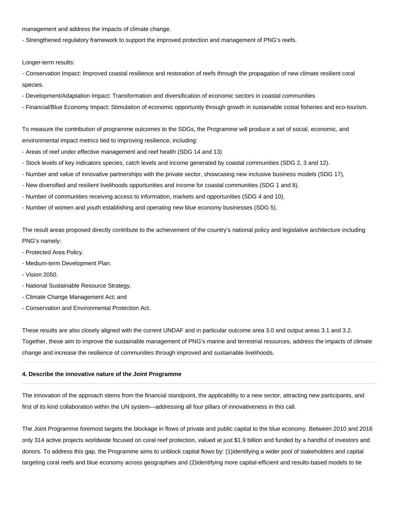management and address the impacts of climate change.

- Strengthened regulatory framework to support the improved protection and management of PNG's reefs.

Longer-term results:

- Conservation Impact: Improved coastal resilience and restoration of reefs through the propagation of new climate resilient coral species.

- Development/Adaptation Impact: Transformation and diversification of economic sectors in coastal communities
- Financial/Blue Economy Impact: Stimulation of economic opportunity through growth in sustainable costal fisheries and eco-tourism.

To measure the contribution of programme outcomes to the SDGs, the Programme will produce a set of social, economic, and environmental impact metrics tied to improving resilience, including:

- Areas of reef under effective management and reef health (SDG 14 and 13)
- Stock levels of key indicators species, catch levels and income generated by coastal communities (SDG 2, 3 and 12).
- Number and value of innovative partnerships with the private sector, showcasing new inclusive business models (SDG 17),
- New diversified and resilient livelihoods opportunities and income for coastal communities (SDG 1 and 8).
- Number of communities receiving access to information, markets and opportunities (SDG 4 and 10).
- Number of women and youth establishing and operating new blue economy businesses (SDG 5).

The result areas proposed directly contribute to the achievement of the country's national policy and legislative architecture including PNG's namely:

- Protected Area Policy.
- Medium-term Development Plan.
- Vision 2050.
- National Sustainable Resource Strategy.
- Climate Change Management Act; and
- Conservation and Environmental Protection Act.

These results are also closely aligned with the current UNDAF and in particular outcome area 3.0 and output areas 3.1 and 3.2. Together, these aim to improve the sustainable management of PNG's marine and terrestrial resources, address the impacts of climate change and increase the resilience of communities through improved and sustainable livelihoods.

#### **4. Describe the innovative nature of the Joint Programme**

The innovation of the approach stems from the financial standpoint, the applicability to a new sector, attracting new participants, and first of its kind collaboration within the UN system—addressing all four pillars of innovativeness in this call.

The Joint Programme foremost targets the blockage in flows of private and public capital to the blue economy. Between 2010 and 2016 only 314 active projects worldwide focused on coral reef protection, valued at just \$1.9 billion and funded by a handful of investors and donors. To address this gap, the Programme aims to unblock capital flows by: (1)identifying a wider pool of stakeholders and capital targeting coral reefs and blue economy across geographies and (2)identifying more capital-efficient and results-based models to tie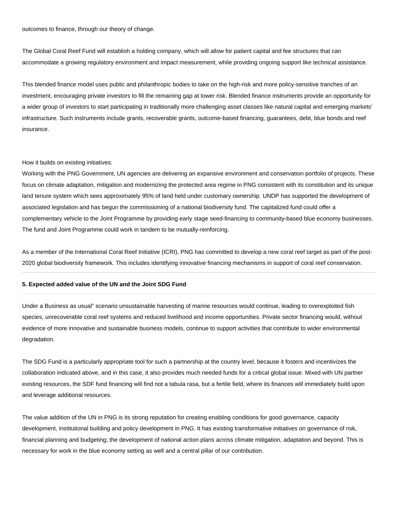outcomes to finance, through our theory of change.

The Global Coral Reef Fund will establish a holding company, which will allow for patient capital and fee structures that can accommodate a growing regulatory environment and impact measurement, while providing ongoing support like technical assistance.

This blended finance model uses public and philanthropic bodies to take on the high-risk and more policy-sensitive tranches of an investment, encouraging private investors to fill the remaining gap at lower risk. Blended finance instruments provide an opportunity for a wider group of investors to start participating in traditionally more challenging asset classes like natural capital and emerging markets' infrastructure. Such instruments include grants, recoverable grants, outcome-based financing, guarantees, debt, blue bonds and reef insurance.

#### How it builds on existing initiatives:

Working with the PNG Government, UN agencies are delivering an expansive environment and conservation portfolio of projects. These focus on climate adaptation, mitigation and modernizing the protected area regime in PNG consistent with its constitution and its unique land tenure system which sees approximately 95% of land held under customary ownership. UNDP has supported the development of associated legislation and has begun the commissioning of a national biodiversity fund. The capitalized fund could offer a complementary vehicle to the Joint Programme by providing early stage seed-financing to community-based blue economy businesses. The fund and Joint Programme could work in tandem to be mutually-reinforcing.

As a member of the International Coral Reef Initiative (ICRI), PNG has committed to develop a new coral reef target as part of the post-2020 global biodiversity framework. This includes identifying innovative financing mechanisms in support of coral reef conservation.

#### **5. Expected added value of the UN and the Joint SDG Fund**

Under a Business as usual" scenario unsustainable harvesting of marine resources would continue, leading to overexploited fish species, unrecoverable coral reef systems and reduced livelihood and income opportunities. Private sector financing would, without evidence of more innovative and sustainable business models, continue to support activities that contribute to wider environmental degradation.

The SDG Fund is a particularly appropriate tool for such a partnership at the country level, because it fosters and incentivizes the collaboration indicated above, and in this case, it also provides much needed funds for a critical global issue. Mixed with UN partner existing resources, the SDF fund financing will find not a tabula rasa, but a fertile field, where its finances will immediately build upon and leverage additional resources.

The value addition of the UN in PNG is its strong reputation for creating enabling conditions for good governance, capacity development, institutional building and policy development in PNG. It has existing transformative initiatives on governance of risk, financial planning and budgeting; the development of national action plans across climate mitigation, adaptation and beyond. This is necessary for work in the blue economy setting as well and a central pillar of our contribution.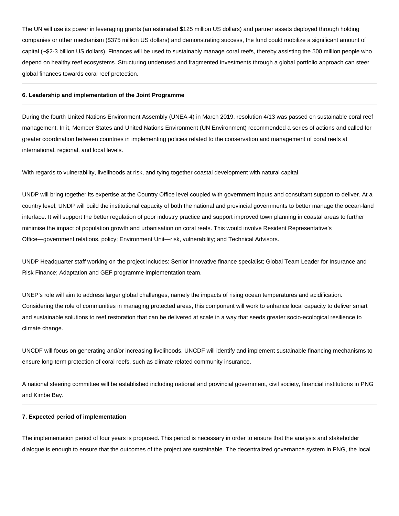The UN will use its power in leveraging grants (an estimated \$125 million US dollars) and partner assets deployed through holding companies or other mechanism (\$375 million US dollars) and demonstrating success, the fund could mobilize a significant amount of capital (~\$2-3 billion US dollars). Finances will be used to sustainably manage coral reefs, thereby assisting the 500 million people who depend on healthy reef ecosystems. Structuring underused and fragmented investments through a global portfolio approach can steer global finances towards coral reef protection.

#### **6. Leadership and implementation of the Joint Programme**

During the fourth United Nations Environment Assembly (UNEA-4) in March 2019, resolution 4/13 was passed on sustainable coral reef management. In it, Member States and United Nations Environment (UN Environment) recommended a series of actions and called for greater coordination between countries in implementing policies related to the conservation and management of coral reefs at international, regional, and local levels.

With regards to vulnerability, livelihoods at risk, and tying together coastal development with natural capital,

UNDP will bring together its expertise at the Country Office level coupled with government inputs and consultant support to deliver. At a country level, UNDP will build the institutional capacity of both the national and provincial governments to better manage the ocean-land interface. It will support the better regulation of poor industry practice and support improved town planning in coastal areas to further minimise the impact of population growth and urbanisation on coral reefs. This would involve Resident Representative's Office—government relations, policy; Environment Unit—risk, vulnerability; and Technical Advisors.

UNDP Headquarter staff working on the project includes: Senior Innovative finance specialist; Global Team Leader for Insurance and Risk Finance; Adaptation and GEF programme implementation team.

UNEP's role will aim to address larger global challenges, namely the impacts of rising ocean temperatures and acidification. Considering the role of communities in managing protected areas, this component will work to enhance local capacity to deliver smart and sustainable solutions to reef restoration that can be delivered at scale in a way that seeds greater socio-ecological resilience to climate change.

UNCDF will focus on generating and/or increasing livelihoods. UNCDF will identify and implement sustainable financing mechanisms to ensure long-term protection of coral reefs, such as climate related community insurance.

A national steering committee will be established including national and provincial government, civil society, financial institutions in PNG and Kimbe Bay.

#### **7. Expected period of implementation**

The implementation period of four years is proposed. This period is necessary in order to ensure that the analysis and stakeholder dialogue is enough to ensure that the outcomes of the project are sustainable. The decentralized governance system in PNG, the local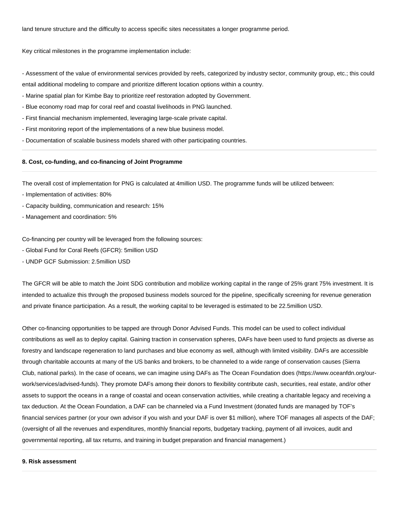land tenure structure and the difficulty to access specific sites necessitates a longer programme period.

Key critical milestones in the programme implementation include:

- Assessment of the value of environmental services provided by reefs, categorized by industry sector, community group, etc.; this could entail additional modeling to compare and prioritize different location options within a country.

- Marine spatial plan for Kimbe Bay to prioritize reef restoration adopted by Government.
- Blue economy road map for coral reef and coastal livelihoods in PNG launched.
- First financial mechanism implemented, leveraging large-scale private capital.
- First monitoring report of the implementations of a new blue business model.
- Documentation of scalable business models shared with other participating countries.

#### **8. Cost, co-funding, and co-financing of Joint Programme**

The overall cost of implementation for PNG is calculated at 4million USD. The programme funds will be utilized between:

- Implementation of activities: 80%
- Capacity building, communication and research: 15%
- Management and coordination: 5%

Co-financing per country will be leveraged from the following sources:

- Global Fund for Coral Reefs (GFCR): 5million USD
- UNDP GCF Submission: 2.5million USD

The GFCR will be able to match the Joint SDG contribution and mobilize working capital in the range of 25% grant 75% investment. It is intended to actualize this through the proposed business models sourced for the pipeline, specifically screening for revenue generation and private finance participation. As a result, the working capital to be leveraged is estimated to be 22.5million USD.

Other co-financing opportunities to be tapped are through Donor Advised Funds. This model can be used to collect individual contributions as well as to deploy capital. Gaining traction in conservation spheres, DAFs have been used to fund projects as diverse as forestry and landscape regeneration to land purchases and blue economy as well, although with limited visibility. DAFs are accessible through charitable accounts at many of the US banks and brokers, to be channeled to a wide range of conservation causes (Sierra Club, national parks). In the case of oceans, we can imagine using DAFs as The Ocean Foundation does (https://www.oceanfdn.org/ourwork/services/advised-funds). They promote DAFs among their donors to flexibility contribute cash, securities, real estate, and/or other assets to support the oceans in a range of coastal and ocean conservation activities, while creating a charitable legacy and receiving a tax deduction. At the Ocean Foundation, a DAF can be channeled via a Fund Investment (donated funds are managed by TOF's financial services partner (or your own advisor if you wish and your DAF is over \$1 million), where TOF manages all aspects of the DAF; (oversight of all the revenues and expenditures, monthly financial reports, budgetary tracking, payment of all invoices, audit and governmental reporting, all tax returns, and training in budget preparation and financial management.)

### **9. Risk assessment**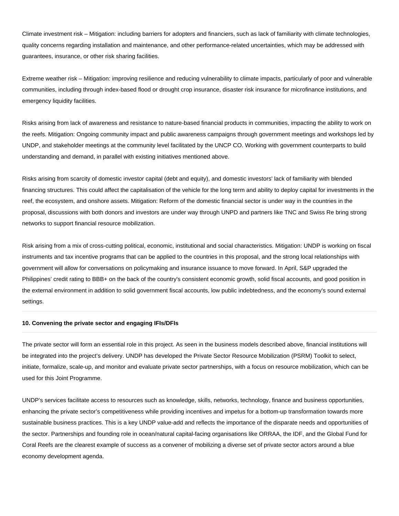Climate investment risk – Mitigation: including barriers for adopters and financiers, such as lack of familiarity with climate technologies, quality concerns regarding installation and maintenance, and other performance-related uncertainties, which may be addressed with guarantees, insurance, or other risk sharing facilities.

Extreme weather risk – Mitigation: improving resilience and reducing vulnerability to climate impacts, particularly of poor and vulnerable communities, including through index-based flood or drought crop insurance, disaster risk insurance for microfinance institutions, and emergency liquidity facilities.

Risks arising from lack of awareness and resistance to nature-based financial products in communities, impacting the ability to work on the reefs. Mitigation: Ongoing community impact and public awareness campaigns through government meetings and workshops led by UNDP, and stakeholder meetings at the community level facilitated by the UNCP CO. Working with government counterparts to build understanding and demand, in parallel with existing initiatives mentioned above.

Risks arising from scarcity of domestic investor capital (debt and equity), and domestic investors' lack of familiarity with blended financing structures. This could affect the capitalisation of the vehicle for the long term and ability to deploy capital for investments in the reef, the ecosystem, and onshore assets. Mitigation: Reform of the domestic financial sector is under way in the countries in the proposal, discussions with both donors and investors are under way through UNPD and partners like TNC and Swiss Re bring strong networks to support financial resource mobilization.

Risk arising from a mix of cross-cutting political, economic, institutional and social characteristics. Mitigation: UNDP is working on fiscal instruments and tax incentive programs that can be applied to the countries in this proposal, and the strong local relationships with government will allow for conversations on policymaking and insurance issuance to move forward. In April, S&P upgraded the Philippines' credit rating to BBB+ on the back of the country's consistent economic growth, solid fiscal accounts, and good position in the external environment in addition to solid government fiscal accounts, low public indebtedness, and the economy's sound external settings.

#### **10. Convening the private sector and engaging IFIs/DFIs**

The private sector will form an essential role in this project. As seen in the business models described above, financial institutions will be integrated into the project's delivery. UNDP has developed the Private Sector Resource Mobilization (PSRM) Toolkit to select, initiate, formalize, scale-up, and monitor and evaluate private sector partnerships, with a focus on resource mobilization, which can be used for this Joint Programme.

UNDP's services facilitate access to resources such as knowledge, skills, networks, technology, finance and business opportunities, enhancing the private sector's competitiveness while providing incentives and impetus for a bottom-up transformation towards more sustainable business practices. This is a key UNDP value-add and reflects the importance of the disparate needs and opportunities of the sector. Partnerships and founding role in ocean/natural capital-facing organisations like ORRAA, the IDF, and the Global Fund for Coral Reefs are the clearest example of success as a convener of mobilizing a diverse set of private sector actors around a blue economy development agenda.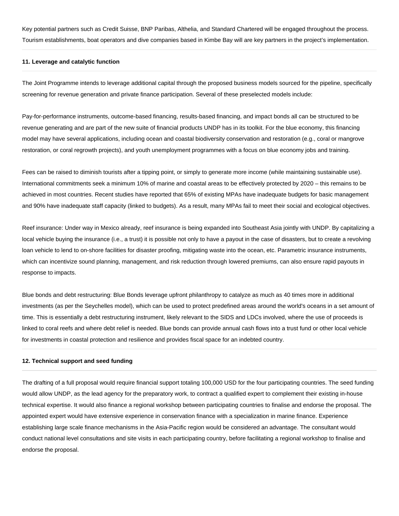Key potential partners such as Credit Suisse, BNP Paribas, Althelia, and Standard Chartered will be engaged throughout the process. Tourism establishments, boat operators and dive companies based in Kimbe Bay will are key partners in the project's implementation.

### **11. Leverage and catalytic function**

The Joint Programme intends to leverage additional capital through the proposed business models sourced for the pipeline, specifically screening for revenue generation and private finance participation. Several of these preselected models include:

Pay-for-performance instruments, outcome-based financing, results-based financing, and impact bonds all can be structured to be revenue generating and are part of the new suite of financial products UNDP has in its toolkit. For the blue economy, this financing model may have several applications, including ocean and coastal biodiversity conservation and restoration (e.g., coral or mangrove restoration, or coral regrowth projects), and youth unemployment programmes with a focus on blue economy jobs and training.

Fees can be raised to diminish tourists after a tipping point, or simply to generate more income (while maintaining sustainable use). International commitments seek a minimum 10% of marine and coastal areas to be effectively protected by 2020 – this remains to be achieved in most countries. Recent studies have reported that 65% of existing MPAs have inadequate budgets for basic management and 90% have inadequate staff capacity (linked to budgets). As a result, many MPAs fail to meet their social and ecological objectives.

Reef insurance: Under way in Mexico already, reef insurance is being expanded into Southeast Asia jointly with UNDP. By capitalizing a local vehicle buying the insurance (i.e., a trust) it is possible not only to have a payout in the case of disasters, but to create a revolving loan vehicle to lend to on-shore facilities for disaster proofing, mitigating waste into the ocean, etc. Parametric insurance instruments, which can incentivize sound planning, management, and risk reduction through lowered premiums, can also ensure rapid payouts in response to impacts.

Blue bonds and debt restructuring: Blue Bonds leverage upfront philanthropy to catalyze as much as 40 times more in additional investments (as per the Seychelles model), which can be used to protect predefined areas around the world's oceans in a set amount of time. This is essentially a debt restructuring instrument, likely relevant to the SIDS and LDCs involved, where the use of proceeds is linked to coral reefs and where debt relief is needed. Blue bonds can provide annual cash flows into a trust fund or other local vehicle for investments in coastal protection and resilience and provides fiscal space for an indebted country.

#### **12. Technical support and seed funding**

The drafting of a full proposal would require financial support totaling 100,000 USD for the four participating countries. The seed funding would allow UNDP, as the lead agency for the preparatory work, to contract a qualified expert to complement their existing in-house technical expertise. It would also finance a regional workshop between participating countries to finalise and endorse the proposal. The appointed expert would have extensive experience in conservation finance with a specialization in marine finance. Experience establishing large scale finance mechanisms in the Asia-Pacific region would be considered an advantage. The consultant would conduct national level consultations and site visits in each participating country, before facilitating a regional workshop to finalise and endorse the proposal.